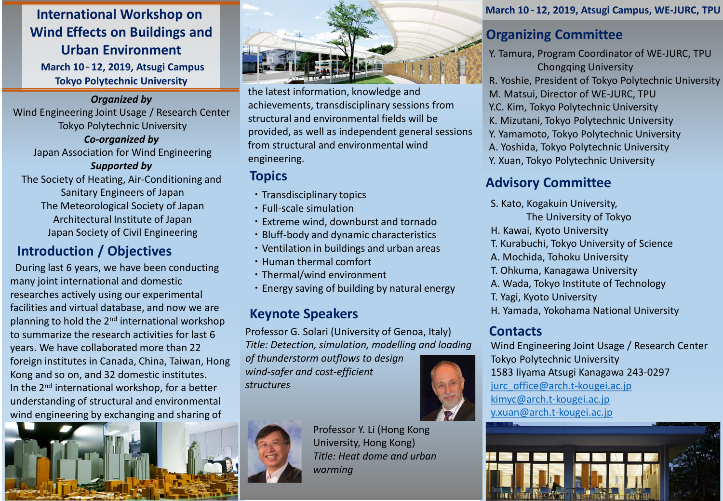# **International Workshop on Wind Effects on Buildings and Urban Environment**

**March 10 ~ 12, 2019, Atsugi Campus Tokyo Polytechnic University**

#### *Organized by*

Wind Engineering Joint Usage / Research Center Tokyo Polytechnic University

*Co-organized by*  Japan Association for Wind Engineering

#### *Supported by*

The Society of Heating, Air-Conditioning and Sanitary Engineers of Japan The Meteorological Society of Japan Architectural Institute of Japan Japan Society of Civil Engineering

# **Introduction / Objectives**

During last 6 years, we have been conducting many joint international and domestic researches actively using our experimental facilities and virtual database, and now we are planning to hold the 2nd international workshop to summarize the research activities for last 6 years. We have collaborated more than 22 foreign institutes in Canada, China, Taiwan, Hong Kong and so on, and 32 domestic institutes. In the 2<sup>nd</sup> international workshop, for a better understanding of structural and environmental wind engineering by exchanging and sharing of





the latest information, knowledge and achievements, transdisciplinary sessions from structural and environmental fields will be provided, as well as independent general sessions from structural and environmental wind engineering.

## **Topics**

- ・Transdisciplinary topics
- ・Full-scale simulation
- ・Extreme wind, downburst and tornado
- ・Bluff-body and dynamic characteristics
- ・Ventilation in buildings and urban areas
- ・Human thermal comfort
- ・Thermal/wind environment
- ・Energy saving of building by natural energy

# **Keynote Speakers**

Professor G. Solari (University of Genoa, Italy) *Title: Detection, simulation, modelling and loading* 

*of thunderstorm outflows to design wind-safer and cost-efficient structures*



Professor Y. Li (Hong Kong University, Hong Kong) *Title: Heat dome and urban warming*

#### **March 10 ~ 12, 2019, Atsugi Campus, WE-JURC, TPU**

# **Organizing Committee**

Y. Tamura, Program Coordinator of WE-JURC, TPU Chongqing University R. Yoshie, President of Tokyo Polytechnic University M. Matsui, Director of WE-JURC, TPU Y.C. Kim, Tokyo Polytechnic University K. Mizutani, Tokyo Polytechnic University Y. Yamamoto, Tokyo Polytechnic University A. Yoshida, Tokyo Polytechnic University Y. Xuan, Tokyo Polytechnic University

# **Advisory Committee**

- S. Kato, Kogakuin University,
	- The University of Tokyo
- H. Kawai, Kyoto University
- T. Kurabuchi, Tokyo University of Science
- A. Mochida, Tohoku University
- T. Ohkuma, Kanagawa University
- A. Wada, Tokyo Institute of Technology
- T. Yagi, Kyoto University
- H. Yamada, Yokohama National University

### **Contacts**

Wind Engineering Joint Usage / Research Center Tokyo Polytechnic University 1583 Iiyama Atsugi Kanagawa 243-0297 [jurc\\_office@arch.t-kougei.ac.jp](mailto:jurc_office@arch.t-kougei.ac.jp) [kimyc@arch.t-kougei.ac.jp](mailto:kimyc@arch.t-kougei.ac.jp) [y.xuan@arch.t-kougei.ac.jp](mailto:y.xuan@arch.t-kougei.ac.jp)